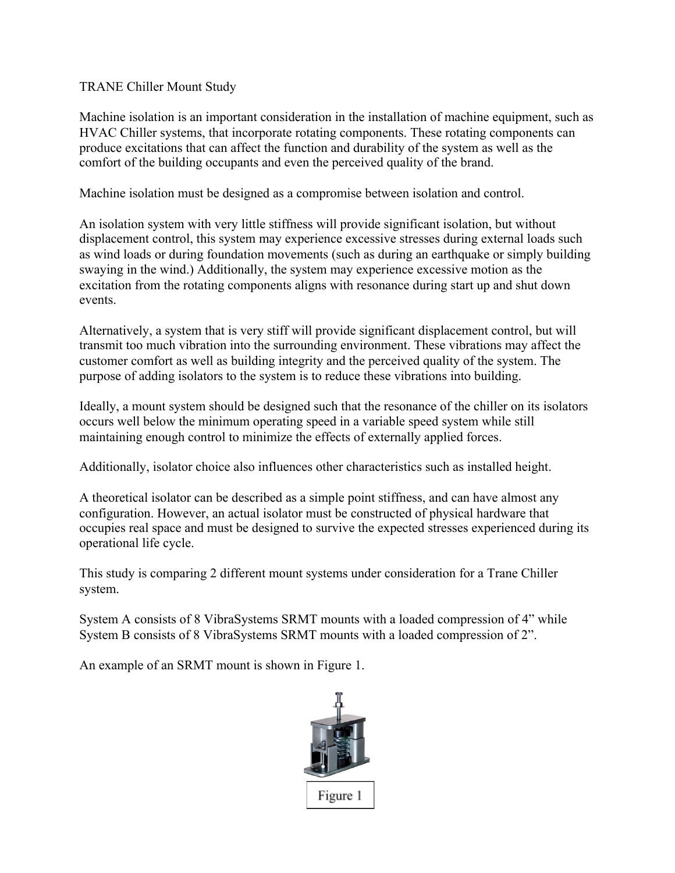## TRANE Chiller Mount Study

Machine isolation is an important consideration in the installation of machine equipment, such as HVAC Chiller systems, that incorporate rotating components. These rotating components can produce excitations that can affect the function and durability of the system as well as the comfort of the building occupants and even the perceived quality of the brand.

Machine isolation must be designed as a compromise between isolation and control.

An isolation system with very little stiffness will provide significant isolation, but without displacement control, this system may experience excessive stresses during external loads such as wind loads or during foundation movements (such as during an earthquake or simply building swaying in the wind.) Additionally, the system may experience excessive motion as the excitation from the rotating components aligns with resonance during start up and shut down events.

Alternatively, a system that is very stiff will provide significant displacement control, but will transmit too much vibration into the surrounding environment. These vibrations may affect the customer comfort as well as building integrity and the perceived quality of the system. The purpose of adding isolators to the system is to reduce these vibrations into building.

Ideally, a mount system should be designed such that the resonance of the chiller on its isolators occurs well below the minimum operating speed in a variable speed system while still maintaining enough control to minimize the effects of externally applied forces.

Additionally, isolator choice also influences other characteristics such as installed height.

A theoretical isolator can be described as a simple point stiffness, and can have almost any configuration. However, an actual isolator must be constructed of physical hardware that occupies real space and must be designed to survive the expected stresses experienced during its operational life cycle.

This study is comparing 2 different mount systems under consideration for a Trane Chiller system.

System A consists of 8 VibraSystems SRMT mounts with a loaded compression of 4" while System B consists of 8 VibraSystems SRMT mounts with a loaded compression of 2".

An example of an SRMT mount is shown in Figure 1.

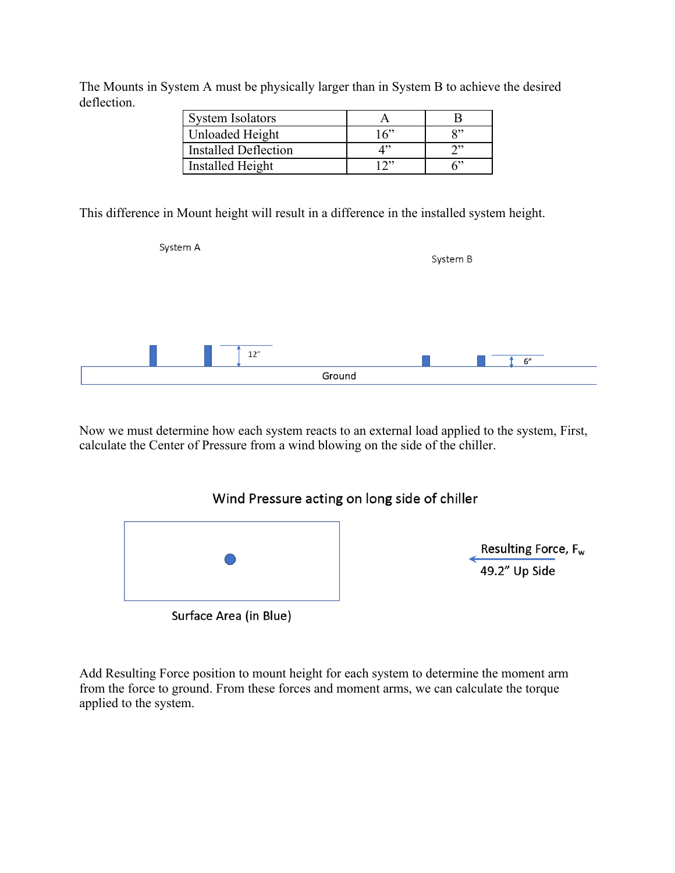The Mounts in System A must be physically larger than in System B to achieve the desired deflection.

| <b>System Isolators</b>     |       |    |
|-----------------------------|-------|----|
| Unloaded Height             | 16"   | יי |
| <b>Installed Deflection</b> |       |    |
| Installed Height            | ייר ו |    |

This difference in Mount height will result in a difference in the installed system height.

| System A       | System B |
|----------------|----------|
|                |          |
| 12''<br>Ground | 6''      |

Now we must determine how each system reacts to an external load applied to the system, First, calculate the Center of Pressure from a wind blowing on the side of the chiller.





Resulting Force,  $F_w$ <br>49.2" Up Side

Surface Area (in Blue)

Add Resulting Force position to mount height for each system to determine the moment arm from the force to ground. From these forces and moment arms, we can calculate the torque applied to the system.